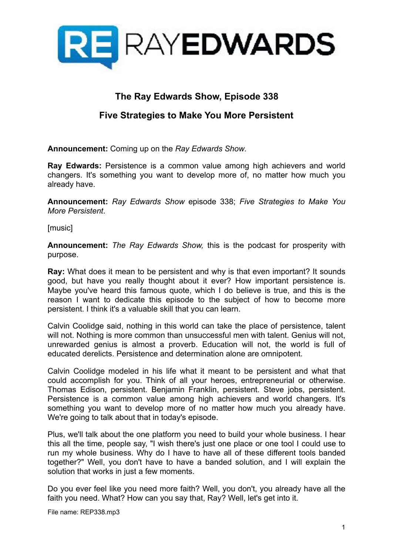

## **The Ray Edwards Show, Episode 338**

## **Five Strategies to Make You More Persistent**

**Announcement:** Coming up on the *Ray Edwards Show*.

**Ray Edwards:** Persistence is a common value among high achievers and world changers. It's something you want to develop more of, no matter how much you already have.

**Announcement:** *Ray Edwards Show* episode 338; *Five Strategies to Make You More Persistent*.

[music]

**Announcement:** *The Ray Edwards Show,* this is the podcast for prosperity with purpose.

**Ray:** What does it mean to be persistent and why is that even important? It sounds good, but have you really thought about it ever? How important persistence is. Maybe you've heard this famous quote, which I do believe is true, and this is the reason I want to dedicate this episode to the subject of how to become more persistent. I think it's a valuable skill that you can learn.

Calvin Coolidge said, nothing in this world can take the place of persistence, talent will not. Nothing is more common than unsuccessful men with talent. Genius will not, unrewarded genius is almost a proverb. Education will not, the world is full of educated derelicts. Persistence and determination alone are omnipotent.

Calvin Coolidge modeled in his life what it meant to be persistent and what that could accomplish for you. Think of all your heroes, entrepreneurial or otherwise. Thomas Edison, persistent. Benjamin Franklin, persistent. Steve jobs, persistent. Persistence is a common value among high achievers and world changers. It's something you want to develop more of no matter how much you already have. We're going to talk about that in today's episode.

Plus, we'll talk about the one platform you need to build your whole business. I hear this all the time, people say, "I wish there's just one place or one tool I could use to run my whole business. Why do I have to have all of these different tools banded together?" Well, you don't have to have a banded solution, and I will explain the solution that works in just a few moments.

Do you ever feel like you need more faith? Well, you don't, you already have all the faith you need. What? How can you say that, Ray? Well, let's get into it.

File name: REP338.mp3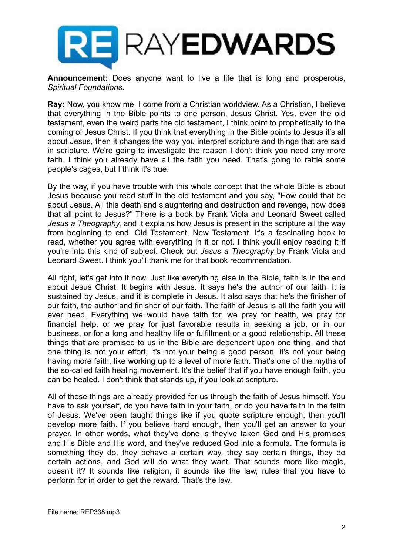

**Announcement:** Does anyone want to live a life that is long and prosperous, *Spiritual Foundations*.

**Ray:** Now, you know me, I come from a Christian worldview. As a Christian, I believe that everything in the Bible points to one person, Jesus Christ. Yes, even the old testament, even the weird parts the old testament, I think point to prophetically to the coming of Jesus Christ. If you think that everything in the Bible points to Jesus it's all about Jesus, then it changes the way you interpret scripture and things that are said in scripture. We're going to investigate the reason I don't think you need any more faith. I think you already have all the faith you need. That's going to rattle some people's cages, but I think it's true.

By the way, if you have trouble with this whole concept that the whole Bible is about Jesus because you read stuff in the old testament and you say, "How could that be about Jesus. All this death and slaughtering and destruction and revenge, how does that all point to Jesus?" There is a book by Frank Viola and Leonard Sweet called *Jesus a Theography,* and it explains how Jesus is present in the scripture all the way from beginning to end, Old Testament, New Testament. It's a fascinating book to read, whether you agree with everything in it or not. I think you'll enjoy reading it if you're into this kind of subject. Check out *Jesus a Theography* by Frank Viola and Leonard Sweet. I think you'll thank me for that book recommendation.

All right, let's get into it now. Just like everything else in the Bible, faith is in the end about Jesus Christ. It begins with Jesus. It says he's the author of our faith. It is sustained by Jesus, and it is complete in Jesus. It also says that he's the finisher of our faith, the author and finisher of our faith. The faith of Jesus is all the faith you will ever need. Everything we would have faith for, we pray for health, we pray for financial help, or we pray for just favorable results in seeking a job, or in our business, or for a long and healthy life or fulfillment or a good relationship. All these things that are promised to us in the Bible are dependent upon one thing, and that one thing is not your effort, it's not your being a good person, it's not your being having more faith, like working up to a level of more faith. That's one of the myths of the so-called faith healing movement. It's the belief that if you have enough faith, you can be healed. I don't think that stands up, if you look at scripture.

All of these things are already provided for us through the faith of Jesus himself. You have to ask yourself, do you have faith in your faith, or do you have faith in the faith of Jesus. We've been taught things like if you quote scripture enough, then you'll develop more faith. If you believe hard enough, then you'll get an answer to your prayer. In other words, what they've done is they've taken God and His promises and His Bible and His word, and they've reduced God into a formula. The formula is something they do, they behave a certain way, they say certain things, they do certain actions, and God will do what they want. That sounds more like magic, doesn't it? It sounds like religion, it sounds like the law, rules that you have to perform for in order to get the reward. That's the law.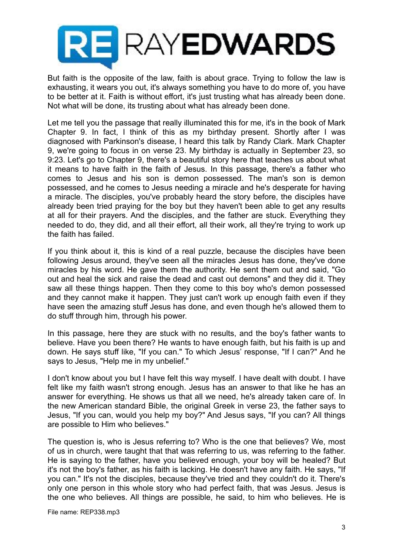

But faith is the opposite of the law, faith is about grace. Trying to follow the law is exhausting, it wears you out, it's always something you have to do more of, you have to be better at it. Faith is without effort, it's just trusting what has already been done. Not what will be done, its trusting about what has already been done.

Let me tell you the passage that really illuminated this for me, it's in the book of Mark Chapter 9. In fact, I think of this as my birthday present. Shortly after I was diagnosed with Parkinson's disease, I heard this talk by Randy Clark. Mark Chapter 9, we're going to focus in on verse 23. My birthday is actually in September 23, so 9:23. Let's go to Chapter 9, there's a beautiful story here that teaches us about what it means to have faith in the faith of Jesus. In this passage, there's a father who comes to Jesus and his son is demon possessed. The man's son is demon possessed, and he comes to Jesus needing a miracle and he's desperate for having a miracle. The disciples, you've probably heard the story before, the disciples have already been tried praying for the boy but they haven't been able to get any results at all for their prayers. And the disciples, and the father are stuck. Everything they needed to do, they did, and all their effort, all their work, all they're trying to work up the faith has failed.

If you think about it, this is kind of a real puzzle, because the disciples have been following Jesus around, they've seen all the miracles Jesus has done, they've done miracles by his word. He gave them the authority. He sent them out and said, "Go out and heal the sick and raise the dead and cast out demons" and they did it. They saw all these things happen. Then they come to this boy who's demon possessed and they cannot make it happen. They just can't work up enough faith even if they have seen the amazing stuff Jesus has done, and even though he's allowed them to do stuff through him, through his power.

In this passage, here they are stuck with no results, and the boy's father wants to believe. Have you been there? He wants to have enough faith, but his faith is up and down. He says stuff like, "If you can." To which Jesus' response, "If I can?" And he says to Jesus, "Help me in my unbelief."

I don't know about you but I have felt this way myself. I have dealt with doubt. I have felt like my faith wasn't strong enough. Jesus has an answer to that like he has an answer for everything. He shows us that all we need, he's already taken care of. In the new American standard Bible, the original Greek in verse 23, the father says to Jesus, "If you can, would you help my boy?" And Jesus says, "If you can? All things are possible to Him who believes."

The question is, who is Jesus referring to? Who is the one that believes? We, most of us in church, were taught that that was referring to us, was referring to the father. He is saying to the father, have you believed enough, your boy will be healed? But it's not the boy's father, as his faith is lacking. He doesn't have any faith. He says, "If you can." It's not the disciples, because they've tried and they couldn't do it. There's only one person in this whole story who had perfect faith, that was Jesus. Jesus is the one who believes. All things are possible, he said, to him who believes. He is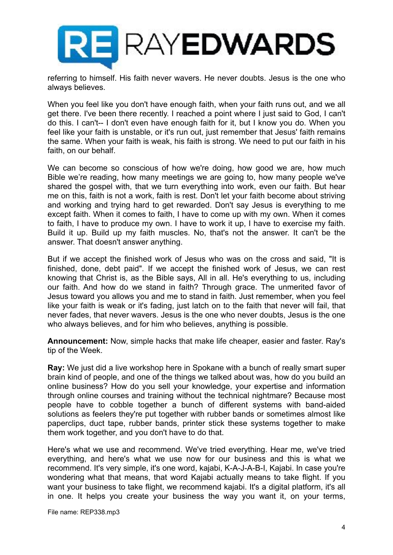

referring to himself. His faith never wavers. He never doubts. Jesus is the one who always believes.

When you feel like you don't have enough faith, when your faith runs out, and we all get there. I've been there recently. I reached a point where I just said to God, I can't do this. I can't-- I don't even have enough faith for it, but I know you do. When you feel like your faith is unstable, or it's run out, just remember that Jesus' faith remains the same. When your faith is weak, his faith is strong. We need to put our faith in his faith, on our behalf.

We can become so conscious of how we're doing, how good we are, how much Bible we're reading, how many meetings we are going to, how many people we've shared the gospel with, that we turn everything into work, even our faith. But hear me on this, faith is not a work, faith is rest. Don't let your faith become about striving and working and trying hard to get rewarded. Don't say Jesus is everything to me except faith. When it comes to faith, I have to come up with my own. When it comes to faith, I have to produce my own. I have to work it up, I have to exercise my faith. Build it up. Build up my faith muscles. No, that's not the answer. It can't be the answer. That doesn't answer anything.

But if we accept the finished work of Jesus who was on the cross and said, "It is finished, done, debt paid". If we accept the finished work of Jesus, we can rest knowing that Christ is, as the Bible says, All in all. He's everything to us, including our faith. And how do we stand in faith? Through grace. The unmerited favor of Jesus toward you allows you and me to stand in faith. Just remember, when you feel like your faith is weak or it's fading, just latch on to the faith that never will fail, that never fades, that never wavers. Jesus is the one who never doubts, Jesus is the one who always believes, and for him who believes, anything is possible.

**Announcement:** Now, simple hacks that make life cheaper, easier and faster. Ray's tip of the Week.

**Ray:** We just did a live workshop here in Spokane with a bunch of really smart super brain kind of people, and one of the things we talked about was, how do you build an online business? How do you sell your knowledge, your expertise and information through online courses and training without the technical nightmare? Because most people have to cobble together a bunch of different systems with band-aided solutions as feelers they're put together with rubber bands or sometimes almost like paperclips, duct tape, rubber bands, printer stick these systems together to make them work together, and you don't have to do that.

Here's what we use and recommend. We've tried everything. Hear me, we've tried everything, and here's what we use now for our business and this is what we recommend. It's very simple, it's one word, kajabi, K-A-J-A-B-I, Kajabi. In case you're wondering what that means, that word Kajabi actually means to take flight. If you want your business to take flight, we recommend kajabi. It's a digital platform, it's all in one. It helps you create your business the way you want it, on your terms,

File name: REP338.mp3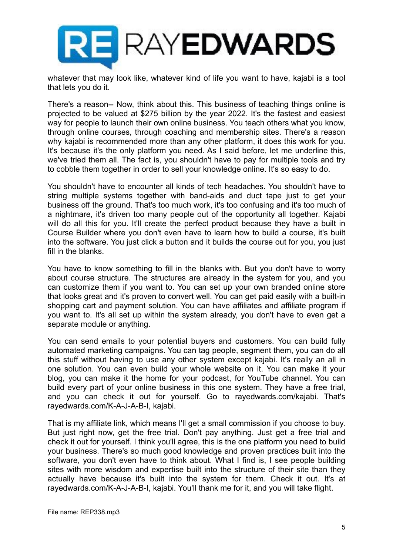

whatever that may look like, whatever kind of life you want to have, kajabi is a tool that lets you do it.

There's a reason-- Now, think about this. This business of teaching things online is projected to be valued at \$275 billion by the year 2022. It's the fastest and easiest way for people to launch their own online business. You teach others what you know, through online courses, through coaching and membership sites. There's a reason why kajabi is recommended more than any other platform, it does this work for you. It's because it's the only platform you need. As I said before, let me underline this, we've tried them all. The fact is, you shouldn't have to pay for multiple tools and try to cobble them together in order to sell your knowledge online. It's so easy to do.

You shouldn't have to encounter all kinds of tech headaches. You shouldn't have to string multiple systems together with band-aids and duct tape just to get your business off the ground. That's too much work, it's too confusing and it's too much of a nightmare, it's driven too many people out of the opportunity all together. Kajabi will do all this for you. It'll create the perfect product because they have a built in Course Builder where you don't even have to learn how to build a course, it's built into the software. You just click a button and it builds the course out for you, you just fill in the blanks.

You have to know something to fill in the blanks with. But you don't have to worry about course structure. The structures are already in the system for you, and you can customize them if you want to. You can set up your own branded online store that looks great and it's proven to convert well. You can get paid easily with a built-in shopping cart and payment solution. You can have affiliates and affiliate program if you want to. It's all set up within the system already, you don't have to even get a separate module or anything.

You can send emails to your potential buyers and customers. You can build fully automated marketing campaigns. You can tag people, segment them, you can do all this stuff without having to use any other system except kajabi. It's really an all in one solution. You can even build your whole website on it. You can make it your blog, you can make it the home for your podcast, for YouTube channel. You can build every part of your online business in this one system. They have a free trial, and you can check it out for yourself. Go to rayedwards.com/kajabi. That's rayedwards.com/K-A-J-A-B-I, kajabi.

That is my affiliate link, which means I'll get a small commission if you choose to buy. But just right now, get the free trial. Don't pay anything. Just get a free trial and check it out for yourself. I think you'll agree, this is the one platform you need to build your business. There's so much good knowledge and proven practices built into the software, you don't even have to think about. What I find is, I see people building sites with more wisdom and expertise built into the structure of their site than they actually have because it's built into the system for them. Check it out. It's at rayedwards.com/K-A-J-A-B-I, kajabi. You'll thank me for it, and you will take flight.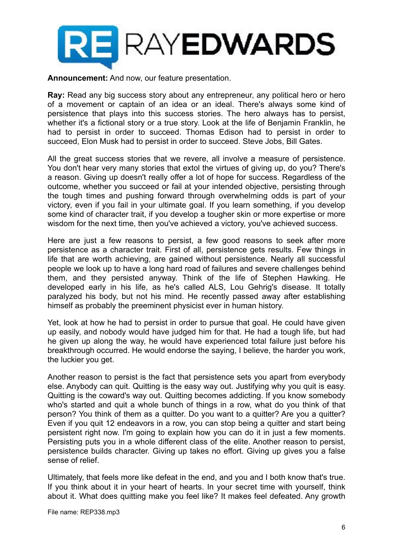

**Announcement:** And now, our feature presentation.

**Ray:** Read any big success story about any entrepreneur, any political hero or hero of a movement or captain of an idea or an ideal. There's always some kind of persistence that plays into this success stories. The hero always has to persist, whether it's a fictional story or a true story. Look at the life of Benjamin Franklin, he had to persist in order to succeed. Thomas Edison had to persist in order to succeed, Elon Musk had to persist in order to succeed. Steve Jobs, Bill Gates.

All the great success stories that we revere, all involve a measure of persistence. You don't hear very many stories that extol the virtues of giving up, do you? There's a reason. Giving up doesn't really offer a lot of hope for success. Regardless of the outcome, whether you succeed or fail at your intended objective, persisting through the tough times and pushing forward through overwhelming odds is part of your victory, even if you fail in your ultimate goal. If you learn something, if you develop some kind of character trait, if you develop a tougher skin or more expertise or more wisdom for the next time, then you've achieved a victory, you've achieved success.

Here are just a few reasons to persist, a few good reasons to seek after more persistence as a character trait. First of all, persistence gets results. Few things in life that are worth achieving, are gained without persistence. Nearly all successful people we look up to have a long hard road of failures and severe challenges behind them, and they persisted anyway. Think of the life of Stephen Hawking. He developed early in his life, as he's called ALS, Lou Gehrig's disease. It totally paralyzed his body, but not his mind. He recently passed away after establishing himself as probably the preeminent physicist ever in human history.

Yet, look at how he had to persist in order to pursue that goal. He could have given up easily, and nobody would have judged him for that. He had a tough life, but had he given up along the way, he would have experienced total failure just before his breakthrough occurred. He would endorse the saying, I believe, the harder you work, the luckier you get.

Another reason to persist is the fact that persistence sets you apart from everybody else. Anybody can quit. Quitting is the easy way out. Justifying why you quit is easy. Quitting is the coward's way out. Quitting becomes addicting. If you know somebody who's started and quit a whole bunch of things in a row, what do you think of that person? You think of them as a quitter. Do you want to a quitter? Are you a quitter? Even if you quit 12 endeavors in a row, you can stop being a quitter and start being persistent right now. I'm going to explain how you can do it in just a few moments. Persisting puts you in a whole different class of the elite. Another reason to persist, persistence builds character. Giving up takes no effort. Giving up gives you a false sense of relief.

Ultimately, that feels more like defeat in the end, and you and I both know that's true. If you think about it in your heart of hearts. In your secret time with yourself, think about it. What does quitting make you feel like? It makes feel defeated. Any growth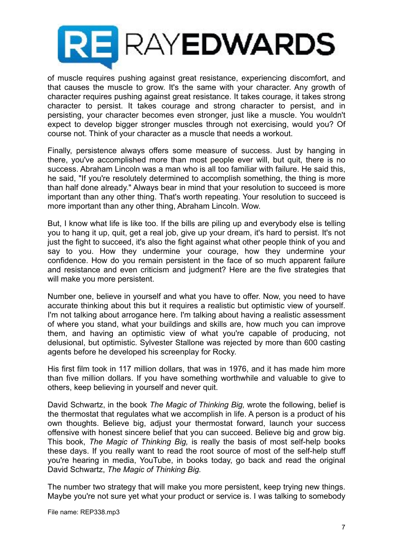

of muscle requires pushing against great resistance, experiencing discomfort, and that causes the muscle to grow. It's the same with your character. Any growth of character requires pushing against great resistance. It takes courage, it takes strong character to persist. It takes courage and strong character to persist, and in persisting, your character becomes even stronger, just like a muscle. You wouldn't expect to develop bigger stronger muscles through not exercising, would you? Of course not. Think of your character as a muscle that needs a workout.

Finally, persistence always offers some measure of success. Just by hanging in there, you've accomplished more than most people ever will, but quit, there is no success. Abraham Lincoln was a man who is all too familiar with failure. He said this, he said, "If you're resolutely determined to accomplish something, the thing is more than half done already." Always bear in mind that your resolution to succeed is more important than any other thing. That's worth repeating. Your resolution to succeed is more important than any other thing, Abraham Lincoln. Wow.

But, I know what life is like too. If the bills are piling up and everybody else is telling you to hang it up, quit, get a real job, give up your dream, it's hard to persist. It's not just the fight to succeed, it's also the fight against what other people think of you and say to you. How they undermine your courage, how they undermine your confidence. How do you remain persistent in the face of so much apparent failure and resistance and even criticism and judgment? Here are the five strategies that will make you more persistent.

Number one, believe in yourself and what you have to offer. Now, you need to have accurate thinking about this but it requires a realistic but optimistic view of yourself. I'm not talking about arrogance here. I'm talking about having a realistic assessment of where you stand, what your buildings and skills are, how much you can improve them, and having an optimistic view of what you're capable of producing, not delusional, but optimistic. Sylvester Stallone was rejected by more than 600 casting agents before he developed his screenplay for Rocky.

His first film took in 117 million dollars, that was in 1976, and it has made him more than five million dollars. If you have something worthwhile and valuable to give to others, keep believing in yourself and never quit.

David Schwartz, in the book *The Magic of Thinking Big,* wrote the following, belief is the thermostat that regulates what we accomplish in life. A person is a product of his own thoughts. Believe big, adjust your thermostat forward, launch your success offensive with honest sincere belief that you can succeed. Believe big and grow big. This book, *The Magic of Thinking Big,* is really the basis of most self-help books these days. If you really want to read the root source of most of the self-help stuff you're hearing in media, YouTube, in books today, go back and read the original David Schwartz, *The Magic of Thinking Big.*

The number two strategy that will make you more persistent, keep trying new things. Maybe you're not sure yet what your product or service is. I was talking to somebody

File name: REP338.mp3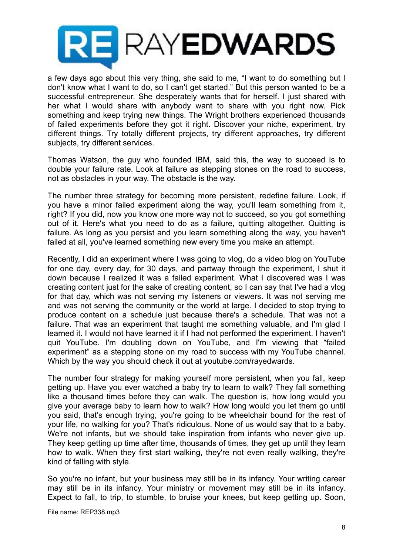

a few days ago about this very thing, she said to me, "I want to do something but I don't know what I want to do, so I can't get started." But this person wanted to be a successful entrepreneur. She desperately wants that for herself. I just shared with her what I would share with anybody want to share with you right now. Pick something and keep trying new things. The Wright brothers experienced thousands of failed experiments before they got it right. Discover your niche, experiment, try different things. Try totally different projects, try different approaches, try different subjects, try different services.

Thomas Watson, the guy who founded IBM, said this, the way to succeed is to double your failure rate. Look at failure as stepping stones on the road to success, not as obstacles in your way. The obstacle is the way.

The number three strategy for becoming more persistent, redefine failure. Look, if you have a minor failed experiment along the way, you'll learn something from it, right? If you did, now you know one more way not to succeed, so you got something out of it. Here's what you need to do as a failure, quitting altogether. Quitting is failure. As long as you persist and you learn something along the way, you haven't failed at all, you've learned something new every time you make an attempt.

Recently, I did an experiment where I was going to vlog, do a video blog on YouTube for one day, every day, for 30 days, and partway through the experiment, I shut it down because I realized it was a failed experiment. What I discovered was I was creating content just for the sake of creating content, so I can say that I've had a vlog for that day, which was not serving my listeners or viewers. It was not serving me and was not serving the community or the world at large. I decided to stop trying to produce content on a schedule just because there's a schedule. That was not a failure. That was an experiment that taught me something valuable, and I'm glad I learned it. I would not have learned it if I had not performed the experiment. I haven't quit YouTube. I'm doubling down on YouTube, and I'm viewing that "failed experiment" as a stepping stone on my road to success with my YouTube channel. Which by the way you should check it out at youtube.com/rayedwards.

The number four strategy for making yourself more persistent, when you fall, keep getting up. Have you ever watched a baby try to learn to walk? They fall something like a thousand times before they can walk. The question is, how long would you give your average baby to learn how to walk? How long would you let them go until you said, that's enough trying, you're going to be wheelchair bound for the rest of your life, no walking for you? That's ridiculous. None of us would say that to a baby. We're not infants, but we should take inspiration from infants who never give up. They keep getting up time after time, thousands of times, they get up until they learn how to walk. When they first start walking, they're not even really walking, they're kind of falling with style.

So you're no infant, but your business may still be in its infancy. Your writing career may still be in its infancy. Your ministry or movement may still be in its infancy. Expect to fall, to trip, to stumble, to bruise your knees, but keep getting up. Soon,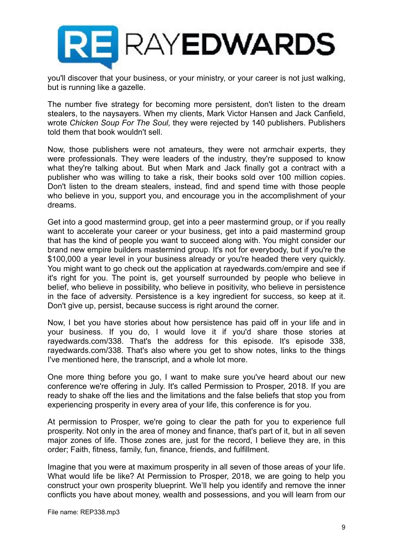

you'll discover that your business, or your ministry, or your career is not just walking, but is running like a gazelle.

The number five strategy for becoming more persistent, don't listen to the dream stealers, to the naysayers. When my clients, Mark Victor Hansen and Jack Canfield, wrote *Chicken Soup For The Soul,* they were rejected by 140 publishers. Publishers told them that book wouldn't sell.

Now, those publishers were not amateurs, they were not armchair experts, they were professionals. They were leaders of the industry, they're supposed to know what they're talking about. But when Mark and Jack finally got a contract with a publisher who was willing to take a risk, their books sold over 100 million copies. Don't listen to the dream stealers, instead, find and spend time with those people who believe in you, support you, and encourage you in the accomplishment of your dreams.

Get into a good mastermind group, get into a peer mastermind group, or if you really want to accelerate your career or your business, get into a paid mastermind group that has the kind of people you want to succeed along with. You might consider our brand new empire builders mastermind group. It's not for everybody, but if you're the \$100,000 a year level in your business already or you're headed there very quickly. You might want to go check out the application at rayedwards.com/empire and see if it's right for you. The point is, get yourself surrounded by people who believe in belief, who believe in possibility, who believe in positivity, who believe in persistence in the face of adversity. Persistence is a key ingredient for success, so keep at it. Don't give up, persist, because success is right around the corner.

Now, I bet you have stories about how persistence has paid off in your life and in your business. If you do, I would love it if you'd share those stories at rayedwards.com/338. That's the address for this episode. It's episode 338, rayedwards.com/338. That's also where you get to show notes, links to the things I've mentioned here, the transcript, and a whole lot more.

One more thing before you go, I want to make sure you've heard about our new conference we're offering in July. It's called Permission to Prosper, 2018. If you are ready to shake off the lies and the limitations and the false beliefs that stop you from experiencing prosperity in every area of your life, this conference is for you.

At permission to Prosper, we're going to clear the path for you to experience full prosperity. Not only in the area of money and finance, that's part of it, but in all seven major zones of life. Those zones are, just for the record, I believe they are, in this order; Faith, fitness, family, fun, finance, friends, and fulfillment.

Imagine that you were at maximum prosperity in all seven of those areas of your life. What would life be like? At Permission to Prosper, 2018, we are going to help you construct your own prosperity blueprint. We'll help you identify and remove the inner conflicts you have about money, wealth and possessions, and you will learn from our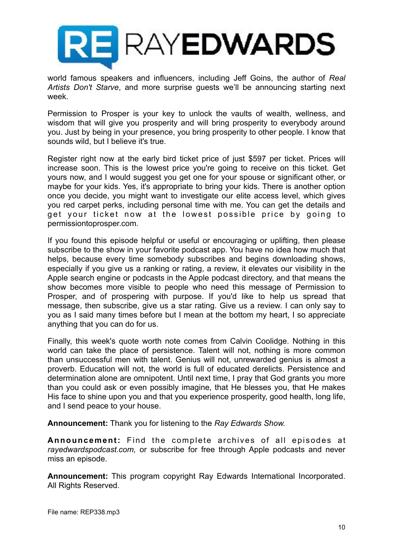

world famous speakers and influencers, including Jeff Goins, the author of *Real Artists Don't Starve*, and more surprise guests we'll be announcing starting next week.

Permission to Prosper is your key to unlock the vaults of wealth, wellness, and wisdom that will give you prosperity and will bring prosperity to everybody around you. Just by being in your presence, you bring prosperity to other people. I know that sounds wild, but I believe it's true.

Register right now at the early bird ticket price of just \$597 per ticket. Prices will increase soon. This is the lowest price you're going to receive on this ticket. Get yours now, and I would suggest you get one for your spouse or significant other, or maybe for your kids. Yes, it's appropriate to bring your kids. There is another option once you decide, you might want to investigate our elite access level, which gives you red carpet perks, including personal time with me. You can get the details and get your ticket now at the lowest possible price by going to permissiontoprosper.com.

If you found this episode helpful or useful or encouraging or uplifting, then please subscribe to the show in your favorite podcast app. You have no idea how much that helps, because every time somebody subscribes and begins downloading shows, especially if you give us a ranking or rating, a review, it elevates our visibility in the Apple search engine or podcasts in the Apple podcast directory, and that means the show becomes more visible to people who need this message of Permission to Prosper, and of prospering with purpose. If you'd like to help us spread that message, then subscribe, give us a star rating. Give us a review. I can only say to you as I said many times before but I mean at the bottom my heart, I so appreciate anything that you can do for us.

Finally, this week's quote worth note comes from Calvin Coolidge. Nothing in this world can take the place of persistence. Talent will not, nothing is more common than unsuccessful men with talent. Genius will not, unrewarded genius is almost a proverb. Education will not, the world is full of educated derelicts. Persistence and determination alone are omnipotent. Until next time, I pray that God grants you more than you could ask or even possibly imagine, that He blesses you, that He makes His face to shine upon you and that you experience prosperity, good health, long life, and I send peace to your house.

**Announcement:** Thank you for listening to the *Ray Edwards Show.*

**Announcement:** Find the complete archives of all episodes at *rayedwardspodcast.com,* or subscribe for free through Apple podcasts and never miss an episode.

**Announcement:** This program copyright Ray Edwards International Incorporated. All Rights Reserved.